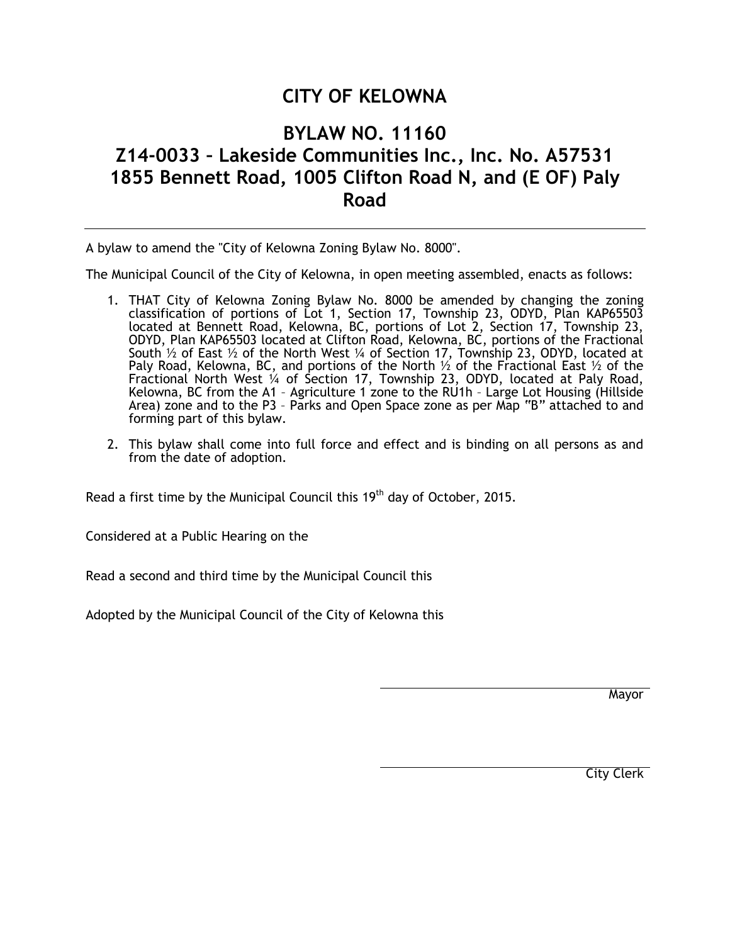## **CITY OF KELOWNA**

## **BYLAW NO. 11160 Z14-0033 – Lakeside Communities Inc., Inc. No. A57531 1855 Bennett Road, 1005 Clifton Road N, and (E OF) Paly Road**

A bylaw to amend the "City of Kelowna Zoning Bylaw No. 8000".

The Municipal Council of the City of Kelowna, in open meeting assembled, enacts as follows:

- 1. THAT City of Kelowna Zoning Bylaw No. 8000 be amended by changing the zoning classification of portions of Lot 1, Section 17, Township 23, ODYD, Plan KAP65503 located at Bennett Road, Kelowna, BC, portions of Lot 2, Section 17, Township 23, ODYD, Plan KAP65503 located at Clifton Road, Kelowna, BC, portions of the Fractional South ½ of East ½ of the North West ¼ of Section 17, Township 23, ODYD, located at Paly Road, Kelowna, BC, and portions of the North  $\frac{1}{2}$  of the Fractional East  $\frac{1}{2}$  of the Fractional North West ¼ of Section 17, Township 23, ODYD, located at Paly Road, Kelowna, BC from the A1 – Agriculture 1 zone to the RU1h – Large Lot Housing (Hillside Area) zone and to the P3 – Parks and Open Space zone as per Map "B" attached to and forming part of this bylaw.
- 2. This bylaw shall come into full force and effect and is binding on all persons as and from the date of adoption.

Read a first time by the Municipal Council this  $19<sup>th</sup>$  day of October, 2015.

Considered at a Public Hearing on the

Read a second and third time by the Municipal Council this

Adopted by the Municipal Council of the City of Kelowna this

Mayor

City Clerk